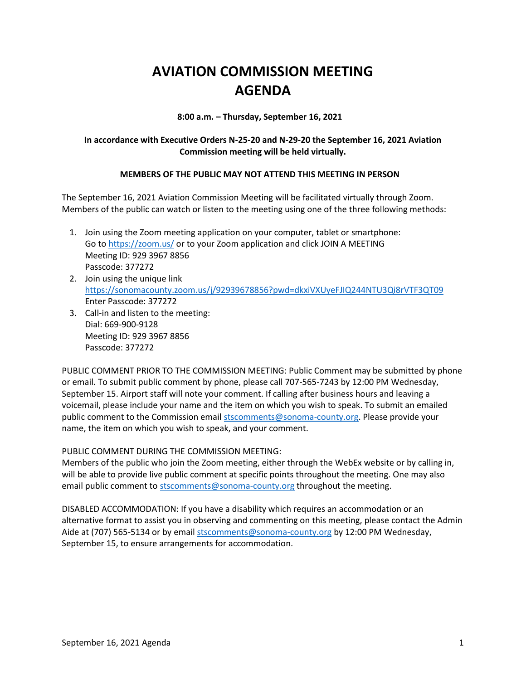## **AVIATION COMMISSION MEETING AGENDA**

**8:00 a.m. – Thursday, September 16, 2021**

## **In accordance with Executive Orders N-25-20 and N-29-20 the September 16, 2021 Aviation Commission meeting will be held virtually.**

## **MEMBERS OF THE PUBLIC MAY NOT ATTEND THIS MEETING IN PERSON**

The September 16, 2021 Aviation Commission Meeting will be facilitated virtually through Zoom. Members of the public can watch or listen to the meeting using one of the three following methods:

- 1. Join using the Zoom meeting application on your computer, tablet or smartphone: Go to<https://zoom.us/> or to your Zoom application and click JOIN A MEETING Meeting ID: 929 3967 8856 Passcode: 377272
- 2. Join using the unique link <https://sonomacounty.zoom.us/j/92939678856?pwd=dkxiVXUyeFJIQ244NTU3Qi8rVTF3QT09> Enter Passcode: 377272
- 3. Call-in and listen to the meeting: Dial: 669-900-9128 Meeting ID: 929 3967 8856 Passcode: 377272

PUBLIC COMMENT PRIOR TO THE COMMISSION MEETING: Public Comment may be submitted by phone or email. To submit public comment by phone, please call 707-565-7243 by 12:00 PM Wednesday, September 15. Airport staff will note your comment. If calling after business hours and leaving a voicemail, please include your name and the item on which you wish to speak. To submit an emailed public comment to the Commission emai[l stscomments@sonoma-county.org.](mailto:stscomments@sonoma-county.org) Please provide your name, the item on which you wish to speak, and your comment.

PUBLIC COMMENT DURING THE COMMISSION MEETING:

Members of the public who join the Zoom meeting, either through the WebEx website or by calling in, will be able to provide live public comment at specific points throughout the meeting. One may also email public comment to [stscomments@sonoma-county.org](mailto:stscomments@sonoma-county.org) throughout the meeting.

DISABLED ACCOMMODATION: If you have a disability which requires an accommodation or an alternative format to assist you in observing and commenting on this meeting, please contact the Admin Aide at (707) 565-5134 or by emai[l stscomments@sonoma-county.org](mailto:stscomments@sonoma-county.org) by 12:00 PM Wednesday, September 15, to ensure arrangements for accommodation.